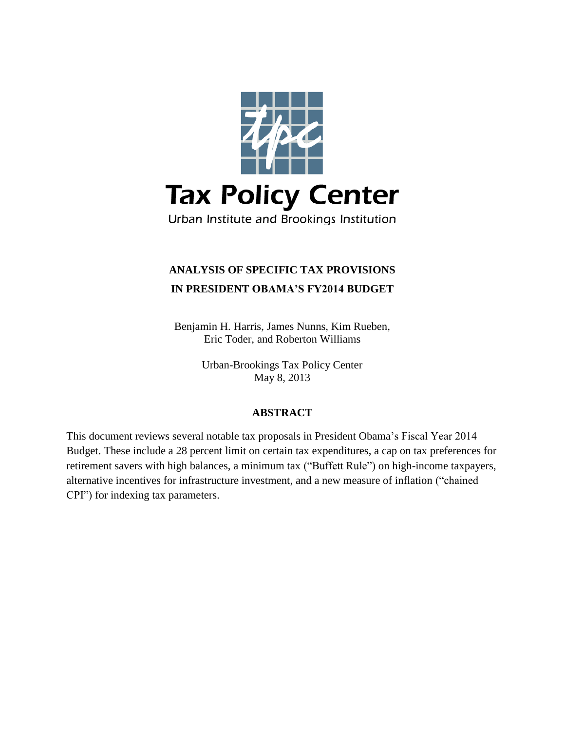

# **ANALYSIS OF SPECIFIC TAX PROVISIONS IN PRESIDENT OBAMA'S FY2014 BUDGET**

Benjamin H. Harris, James Nunns, Kim Rueben, Eric Toder, and Roberton Williams

> Urban-Brookings Tax Policy Center May 8, 2013

# **ABSTRACT**

This document reviews several notable tax proposals in President Obama's Fiscal Year 2014 Budget. These include a 28 percent limit on certain tax expenditures, a cap on tax preferences for retirement savers with high balances, a minimum tax ("Buffett Rule") on high-income taxpayers, alternative incentives for infrastructure investment, and a new measure of inflation ("chained CPI") for indexing tax parameters.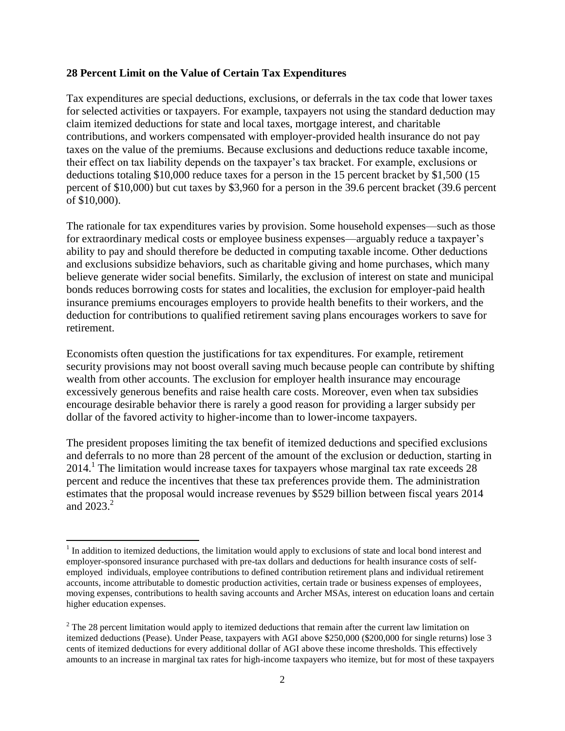### **28 Percent Limit on the Value of Certain Tax Expenditures**

Tax expenditures are special deductions, exclusions, or deferrals in the tax code that lower taxes for selected activities or taxpayers. For example, taxpayers not using the standard deduction may claim itemized deductions for state and local taxes, mortgage interest, and charitable contributions, and workers compensated with employer-provided health insurance do not pay taxes on the value of the premiums. Because exclusions and deductions reduce taxable income, their effect on tax liability depends on the taxpayer's tax bracket. For example, exclusions or deductions totaling \$10,000 reduce taxes for a person in the 15 percent bracket by \$1,500 (15 percent of \$10,000) but cut taxes by \$3,960 for a person in the 39.6 percent bracket (39.6 percent of \$10,000).

The rationale for tax expenditures varies by provision. Some household expenses—such as those for extraordinary medical costs or employee business expenses—arguably reduce a taxpayer's ability to pay and should therefore be deducted in computing taxable income. Other deductions and exclusions subsidize behaviors, such as charitable giving and home purchases, which many believe generate wider social benefits. Similarly, the exclusion of interest on state and municipal bonds reduces borrowing costs for states and localities, the exclusion for employer-paid health insurance premiums encourages employers to provide health benefits to their workers, and the deduction for contributions to qualified retirement saving plans encourages workers to save for retirement.

Economists often question the justifications for tax expenditures. For example, retirement security provisions may not boost overall saving much because people can contribute by shifting wealth from other accounts. The exclusion for employer health insurance may encourage excessively generous benefits and raise health care costs. Moreover, even when tax subsidies encourage desirable behavior there is rarely a good reason for providing a larger subsidy per dollar of the favored activity to higher-income than to lower-income taxpayers.

The president proposes limiting the tax benefit of itemized deductions and specified exclusions and deferrals to no more than 28 percent of the amount of the exclusion or deduction, starting in  $2014<sup>1</sup>$  The limitation would increase taxes for taxpayers whose marginal tax rate exceeds 28 percent and reduce the incentives that these tax preferences provide them. The administration estimates that the proposal would increase revenues by \$529 billion between fiscal years 2014 and  $2023.<sup>2</sup>$ 

<sup>&</sup>lt;sup>1</sup> In addition to itemized deductions, the limitation would apply to exclusions of state and local bond interest and employer-sponsored insurance purchased with pre-tax dollars and deductions for health insurance costs of selfemployed individuals, employee contributions to defined contribution retirement plans and individual retirement accounts, income attributable to domestic production activities, certain trade or business expenses of employees, moving expenses, contributions to health saving accounts and Archer MSAs, interest on education loans and certain higher education expenses.

<sup>&</sup>lt;sup>2</sup> The 28 percent limitation would apply to itemized deductions that remain after the current law limitation on itemized deductions (Pease). Under Pease, taxpayers with AGI above \$250,000 (\$200,000 for single returns) lose 3 cents of itemized deductions for every additional dollar of AGI above these income thresholds. This effectively amounts to an increase in marginal tax rates for high-income taxpayers who itemize, but for most of these taxpayers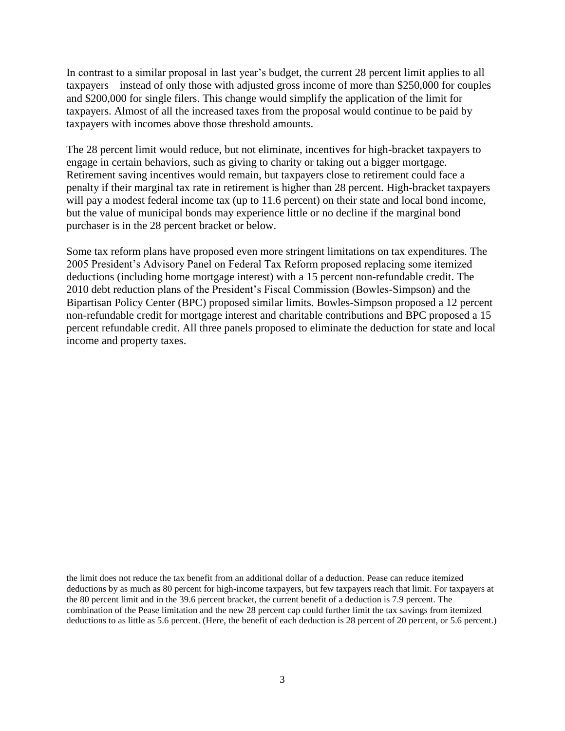In contrast to a similar proposal in last year's budget, the current 28 percent limit applies to all taxpayers—instead of only those with adjusted gross income of more than \$250,000 for couples and \$200,000 for single filers. This change would simplify the application of the limit for taxpayers. Almost of all the increased taxes from the proposal would continue to be paid by taxpayers with incomes above those threshold amounts.

The 28 percent limit would reduce, but not eliminate, incentives for high-bracket taxpayers to engage in certain behaviors, such as giving to charity or taking out a bigger mortgage. Retirement saving incentives would remain, but taxpayers close to retirement could face a penalty if their marginal tax rate in retirement is higher than 28 percent. High-bracket taxpayers will pay a modest federal income tax (up to 11.6 percent) on their state and local bond income, but the value of municipal bonds may experience little or no decline if the marginal bond purchaser is in the 28 percent bracket or below.

Some tax reform plans have proposed even more stringent limitations on tax expenditures. The 2005 President's Advisory Panel on Federal Tax Reform proposed replacing some itemized deductions (including home mortgage interest) with a 15 percent non-refundable credit. The 2010 debt reduction plans of the President's Fiscal Commission (Bowles-Simpson) and the Bipartisan Policy Center (BPC) proposed similar limits. Bowles-Simpson proposed a 12 percent non-refundable credit for mortgage interest and charitable contributions and BPC proposed a 15 percent refundable credit. All three panels proposed to eliminate the deduction for state and local income and property taxes.

 $\overline{\phantom{a}}$ 

the limit does not reduce the tax benefit from an additional dollar of a deduction. Pease can reduce itemized deductions by as much as 80 percent for high-income taxpayers, but few taxpayers reach that limit. For taxpayers at the 80 percent limit and in the 39.6 percent bracket, the current benefit of a deduction is 7.9 percent. The combination of the Pease limitation and the new 28 percent cap could further limit the tax savings from itemized deductions to as little as 5.6 percent. (Here, the benefit of each deduction is 28 percent of 20 percent, or 5.6 percent.)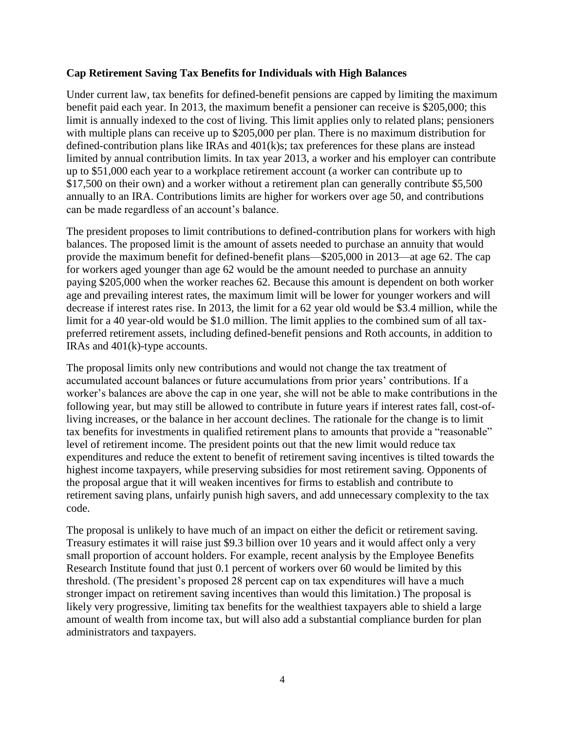# **Cap Retirement Saving Tax Benefits for Individuals with High Balances**

Under current law, tax benefits for defined-benefit pensions are capped by limiting the maximum benefit paid each year. In 2013, the maximum benefit a pensioner can receive is \$205,000; this limit is annually indexed to the cost of living. This limit applies only to related plans; pensioners with multiple plans can receive up to \$205,000 per plan. There is no maximum distribution for defined-contribution plans like IRAs and 401(k)s; tax preferences for these plans are instead limited by annual contribution limits. In tax year 2013, a worker and his employer can contribute up to \$51,000 each year to a workplace retirement account (a worker can contribute up to \$17,500 on their own) and a worker without a retirement plan can generally contribute \$5,500 annually to an IRA. Contributions limits are higher for workers over age 50, and contributions can be made regardless of an account's balance.

The president proposes to limit contributions to defined-contribution plans for workers with high balances. The proposed limit is the amount of assets needed to purchase an annuity that would provide the maximum benefit for defined-benefit plans—\$205,000 in 2013—at age 62. The cap for workers aged younger than age 62 would be the amount needed to purchase an annuity paying \$205,000 when the worker reaches 62. Because this amount is dependent on both worker age and prevailing interest rates, the maximum limit will be lower for younger workers and will decrease if interest rates rise. In 2013, the limit for a 62 year old would be \$3.4 million, while the limit for a 40 year-old would be \$1.0 million. The limit applies to the combined sum of all taxpreferred retirement assets, including defined-benefit pensions and Roth accounts, in addition to IRAs and 401(k)-type accounts.

The proposal limits only new contributions and would not change the tax treatment of accumulated account balances or future accumulations from prior years' contributions. If a worker's balances are above the cap in one year, she will not be able to make contributions in the following year, but may still be allowed to contribute in future years if interest rates fall, cost-ofliving increases, or the balance in her account declines. The rationale for the change is to limit tax benefits for investments in qualified retirement plans to amounts that provide a "reasonable" level of retirement income. The president points out that the new limit would reduce tax expenditures and reduce the extent to benefit of retirement saving incentives is tilted towards the highest income taxpayers, while preserving subsidies for most retirement saving. Opponents of the proposal argue that it will weaken incentives for firms to establish and contribute to retirement saving plans, unfairly punish high savers, and add unnecessary complexity to the tax code.

The proposal is unlikely to have much of an impact on either the deficit or retirement saving. Treasury estimates it will raise just \$9.3 billion over 10 years and it would affect only a very small proportion of account holders. For example, recent analysis by the Employee Benefits Research Institute found that just 0.1 percent of workers over 60 would be limited by this threshold. (The president's proposed 28 percent cap on tax expenditures will have a much stronger impact on retirement saving incentives than would this limitation.) The proposal is likely very progressive, limiting tax benefits for the wealthiest taxpayers able to shield a large amount of wealth from income tax, but will also add a substantial compliance burden for plan administrators and taxpayers.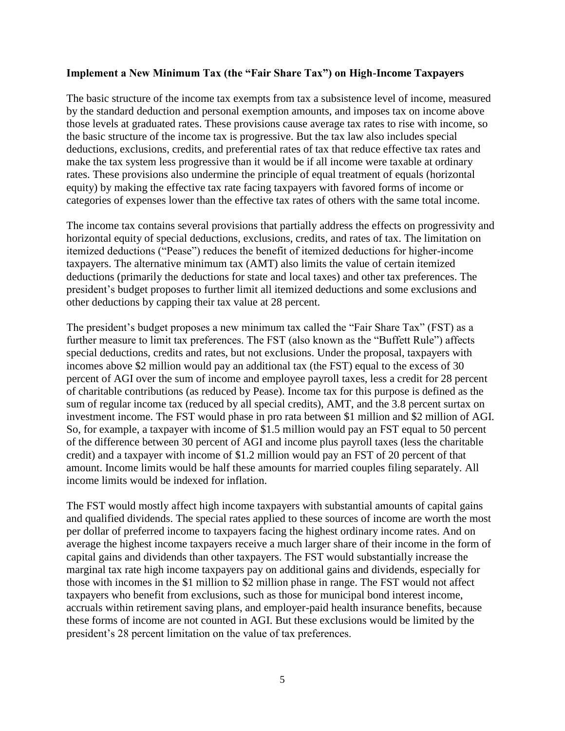#### **Implement a New Minimum Tax (the "Fair Share Tax") on High-Income Taxpayers**

The basic structure of the income tax exempts from tax a subsistence level of income, measured by the standard deduction and personal exemption amounts, and imposes tax on income above those levels at graduated rates. These provisions cause average tax rates to rise with income, so the basic structure of the income tax is progressive. But the tax law also includes special deductions, exclusions, credits, and preferential rates of tax that reduce effective tax rates and make the tax system less progressive than it would be if all income were taxable at ordinary rates. These provisions also undermine the principle of equal treatment of equals (horizontal equity) by making the effective tax rate facing taxpayers with favored forms of income or categories of expenses lower than the effective tax rates of others with the same total income.

The income tax contains several provisions that partially address the effects on progressivity and horizontal equity of special deductions, exclusions, credits, and rates of tax. The limitation on itemized deductions ("Pease") reduces the benefit of itemized deductions for higher-income taxpayers. The alternative minimum tax (AMT) also limits the value of certain itemized deductions (primarily the deductions for state and local taxes) and other tax preferences. The president's budget proposes to further limit all itemized deductions and some exclusions and other deductions by capping their tax value at 28 percent.

The president's budget proposes a new minimum tax called the "Fair Share Tax" (FST) as a further measure to limit tax preferences. The FST (also known as the "Buffett Rule") affects special deductions, credits and rates, but not exclusions. Under the proposal, taxpayers with incomes above \$2 million would pay an additional tax (the FST) equal to the excess of 30 percent of AGI over the sum of income and employee payroll taxes, less a credit for 28 percent of charitable contributions (as reduced by Pease). Income tax for this purpose is defined as the sum of regular income tax (reduced by all special credits), AMT, and the 3.8 percent surtax on investment income. The FST would phase in pro rata between \$1 million and \$2 million of AGI. So, for example, a taxpayer with income of \$1.5 million would pay an FST equal to 50 percent of the difference between 30 percent of AGI and income plus payroll taxes (less the charitable credit) and a taxpayer with income of \$1.2 million would pay an FST of 20 percent of that amount. Income limits would be half these amounts for married couples filing separately. All income limits would be indexed for inflation.

The FST would mostly affect high income taxpayers with substantial amounts of capital gains and qualified dividends. The special rates applied to these sources of income are worth the most per dollar of preferred income to taxpayers facing the highest ordinary income rates. And on average the highest income taxpayers receive a much larger share of their income in the form of capital gains and dividends than other taxpayers. The FST would substantially increase the marginal tax rate high income taxpayers pay on additional gains and dividends, especially for those with incomes in the \$1 million to \$2 million phase in range. The FST would not affect taxpayers who benefit from exclusions, such as those for municipal bond interest income, accruals within retirement saving plans, and employer-paid health insurance benefits, because these forms of income are not counted in AGI. But these exclusions would be limited by the president's 28 percent limitation on the value of tax preferences.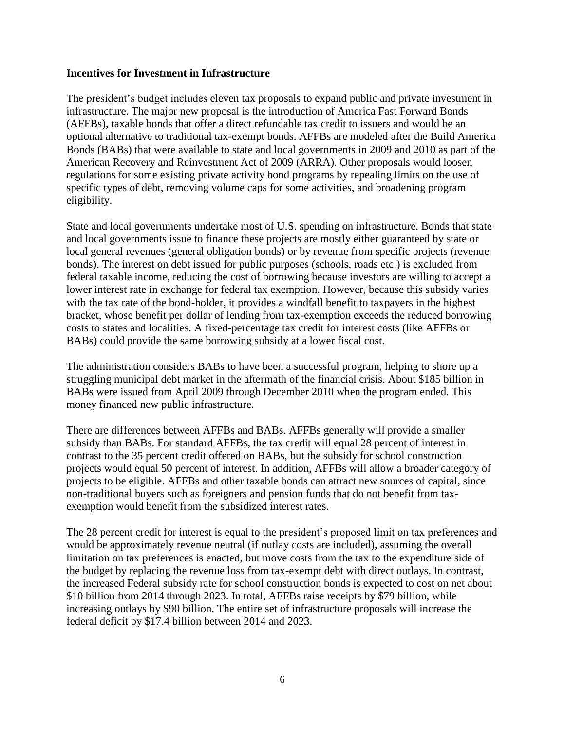### **Incentives for Investment in Infrastructure**

The president's budget includes eleven tax proposals to expand public and private investment in infrastructure. The major new proposal is the introduction of America Fast Forward Bonds (AFFBs), taxable bonds that offer a direct refundable tax credit to issuers and would be an optional alternative to traditional tax-exempt bonds. AFFBs are modeled after the Build America Bonds (BABs) that were available to state and local governments in 2009 and 2010 as part of the American Recovery and Reinvestment Act of 2009 (ARRA). Other proposals would loosen regulations for some existing private activity bond programs by repealing limits on the use of specific types of debt, removing volume caps for some activities, and broadening program eligibility.

State and local governments undertake most of U.S. spending on infrastructure. Bonds that state and local governments issue to finance these projects are mostly either guaranteed by state or local general revenues (general obligation bonds) or by revenue from specific projects (revenue bonds). The interest on debt issued for public purposes (schools, roads etc.) is excluded from federal taxable income, reducing the cost of borrowing because investors are willing to accept a lower interest rate in exchange for federal tax exemption. However, because this subsidy varies with the tax rate of the bond-holder, it provides a windfall benefit to taxpayers in the highest bracket, whose benefit per dollar of lending from tax-exemption exceeds the reduced borrowing costs to states and localities. A fixed-percentage tax credit for interest costs (like AFFBs or BABs) could provide the same borrowing subsidy at a lower fiscal cost.

The administration considers BABs to have been a successful program, helping to shore up a struggling municipal debt market in the aftermath of the financial crisis. About \$185 billion in BABs were issued from April 2009 through December 2010 when the program ended. This money financed new public infrastructure.

There are differences between AFFBs and BABs. AFFBs generally will provide a smaller subsidy than BABs. For standard AFFBs, the tax credit will equal 28 percent of interest in contrast to the 35 percent credit offered on BABs, but the subsidy for school construction projects would equal 50 percent of interest. In addition, AFFBs will allow a broader category of projects to be eligible. AFFBs and other taxable bonds can attract new sources of capital, since non-traditional buyers such as foreigners and pension funds that do not benefit from taxexemption would benefit from the subsidized interest rates.

The 28 percent credit for interest is equal to the president's proposed limit on tax preferences and would be approximately revenue neutral (if outlay costs are included), assuming the overall limitation on tax preferences is enacted, but move costs from the tax to the expenditure side of the budget by replacing the revenue loss from tax-exempt debt with direct outlays. In contrast, the increased Federal subsidy rate for school construction bonds is expected to cost on net about \$10 billion from 2014 through 2023. In total, AFFBs raise receipts by \$79 billion, while increasing outlays by \$90 billion. The entire set of infrastructure proposals will increase the federal deficit by \$17.4 billion between 2014 and 2023.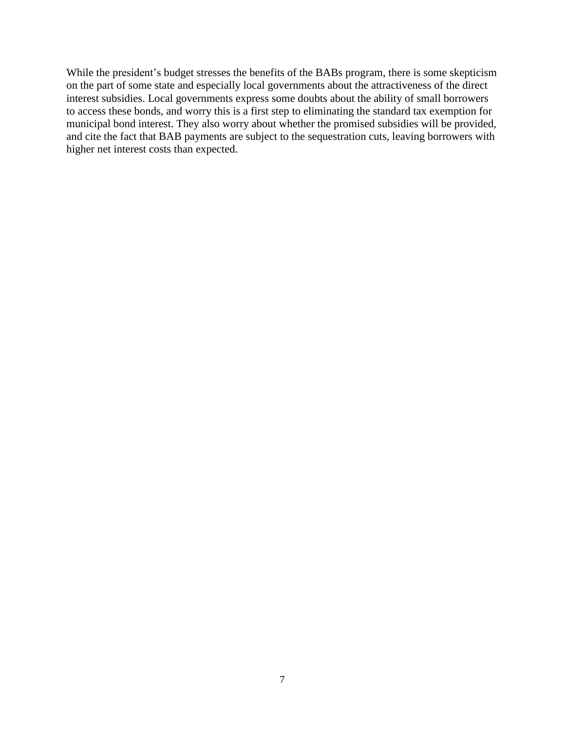While the president's budget stresses the benefits of the BABs program, there is some skepticism on the part of some state and especially local governments about the attractiveness of the direct interest subsidies. Local governments express some doubts about the ability of small borrowers to access these bonds, and worry this is a first step to eliminating the standard tax exemption for municipal bond interest. They also worry about whether the promised subsidies will be provided, and cite the fact that BAB payments are subject to the sequestration cuts, leaving borrowers with higher net interest costs than expected.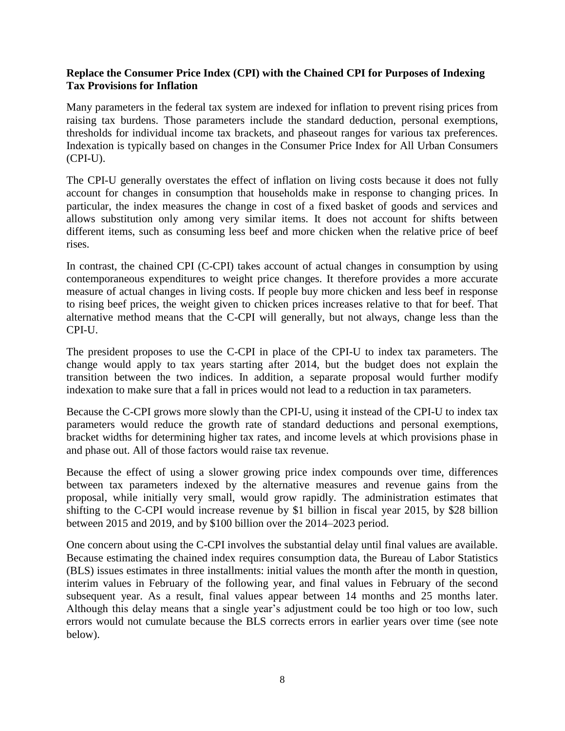# **Replace the Consumer Price Index (CPI) with the Chained CPI for Purposes of Indexing Tax Provisions for Inflation**

Many parameters in the federal tax system are indexed for inflation to prevent rising prices from raising tax burdens. Those parameters include the standard deduction, personal exemptions, thresholds for individual income tax brackets, and phaseout ranges for various tax preferences. Indexation is typically based on changes in the Consumer Price Index for All Urban Consumers (CPI-U).

The CPI-U generally overstates the effect of inflation on living costs because it does not fully account for changes in consumption that households make in response to changing prices. In particular, the index measures the change in cost of a fixed basket of goods and services and allows substitution only among very similar items. It does not account for shifts between different items, such as consuming less beef and more chicken when the relative price of beef rises.

In contrast, the chained CPI (C-CPI) takes account of actual changes in consumption by using contemporaneous expenditures to weight price changes. It therefore provides a more accurate measure of actual changes in living costs. If people buy more chicken and less beef in response to rising beef prices, the weight given to chicken prices increases relative to that for beef. That alternative method means that the C-CPI will generally, but not always, change less than the CPI-U.

The president proposes to use the C-CPI in place of the CPI-U to index tax parameters. The change would apply to tax years starting after 2014, but the budget does not explain the transition between the two indices. In addition, a separate proposal would further modify indexation to make sure that a fall in prices would not lead to a reduction in tax parameters.

Because the C-CPI grows more slowly than the CPI-U, using it instead of the CPI-U to index tax parameters would reduce the growth rate of standard deductions and personal exemptions, bracket widths for determining higher tax rates, and income levels at which provisions phase in and phase out. All of those factors would raise tax revenue.

Because the effect of using a slower growing price index compounds over time, differences between tax parameters indexed by the alternative measures and revenue gains from the proposal, while initially very small, would grow rapidly. The administration estimates that shifting to the C-CPI would increase revenue by \$1 billion in fiscal year 2015, by \$28 billion between 2015 and 2019, and by \$100 billion over the 2014–2023 period.

One concern about using the C-CPI involves the substantial delay until final values are available. Because estimating the chained index requires consumption data, the Bureau of Labor Statistics (BLS) issues estimates in three installments: initial values the month after the month in question, interim values in February of the following year, and final values in February of the second subsequent year. As a result, final values appear between 14 months and 25 months later. Although this delay means that a single year's adjustment could be too high or too low, such errors would not cumulate because the BLS corrects errors in earlier years over time (see note below).